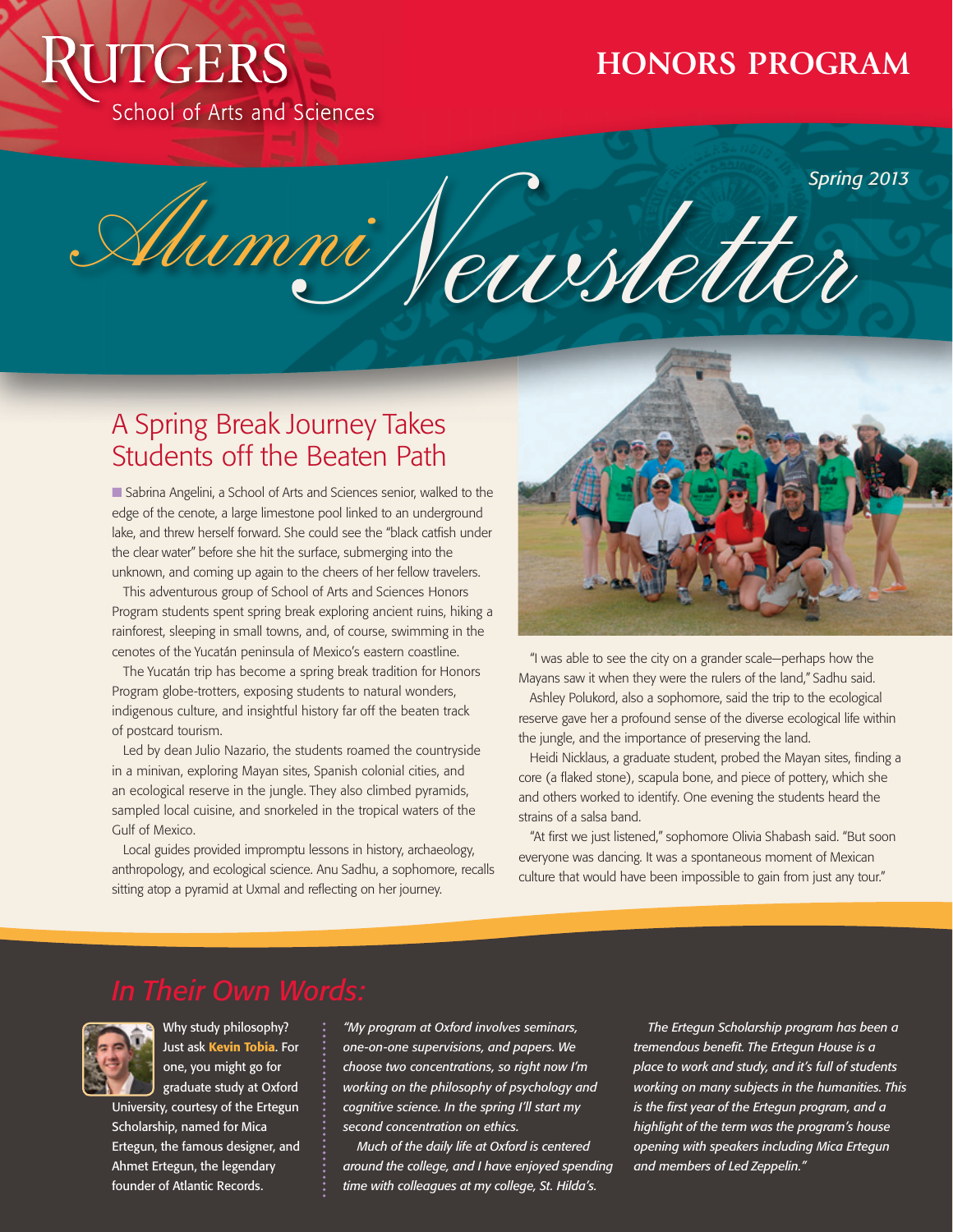# **JTGERS** School of Arts and Sciences

## **HONORS PROGRAM**

Alumni Newsletter *Spring 2013*

## A Spring Break Journey Takes Students off the Beaten Path

■ Sabrina Angelini, a School of Arts and Sciences senior, walked to the edge of the cenote, a large limestone pool linked to an underground lake, and threw herself forward. She could see the "black catfish under the clear water" before she hit the surface, submerging into the unknown, and coming up again to the cheers of her fellow travelers.

This adventurous group of School of Arts and Sciences Honors Program students spent spring break exploring ancient ruins, hiking a rainforest, sleeping in small towns, and, of course, swimming in the cenotes of the Yucatán peninsula of Mexico's eastern coastline.

The Yucatán trip has become a spring break tradition for Honors Program globe-trotters, exposing students to natural wonders, indigenous culture, and insightful history far off the beaten track of postcard tourism.

Led by dean Julio Nazario, the students roamed the countryside in a minivan, exploring Mayan sites, Spanish colonial cities, and an ecological reserve in the jungle. They also climbed pyramids, sampled local cuisine, and snorkeled in the tropical waters of the Gulf of Mexico.

Local guides provided impromptu lessons in history, archaeology, anthropology, and ecological science. Anu Sadhu, a sophomore, recalls sitting atop a pyramid at Uxmal and reflecting on her journey.



"I was able to see the city on a grander scale—perhaps how the Mayans saw it when they were the rulers of the land," Sadhu said.

Ashley Polukord, also a sophomore, said the trip to the ecological reserve gave her a profound sense of the diverse ecological life within the jungle, and the importance of preserving the land.

Heidi Nicklaus, a graduate student, probed the Mayan sites, finding a core (a flaked stone), scapula bone, and piece of pottery, which she and others worked to identify. One evening the students heard the strains of a salsa band.

"At first we just listened," sophomore Olivia Shabash said. "But soon everyone was dancing. It was a spontaneous moment of Mexican culture that would have been impossible to gain from just any tour."



Why study philosophy? Just ask Kevin Tobia. For one, you might go for graduate study at Oxford

University, courtesy of the Ertegun Scholarship, named for Mica Ertegun, the famous designer, and Ahmet Ertegun, the legendary founder of Atlantic Records.

*"My program at Oxford involves seminars, one-on-one supervisions, and papers. We choose two concentrations, so right now I'm working on the philosophy of psychology and cognitive science. In the spring I'll start my second concentration on ethics.*

*Much of the daily life at Oxford is centered around the college, and I have enjoyed spending time with colleagues at my college, St. Hilda's.*

*The Ertegun Scholarship program has been a tremendous benefit. The Ertegun House is a place to work and study, and it's full of students working on many subjects in the humanities. This is the first year of the Ertegun program, and a highlight of the term was the program's house opening with speakers including Mica Ertegun and members of Led Zeppelin."*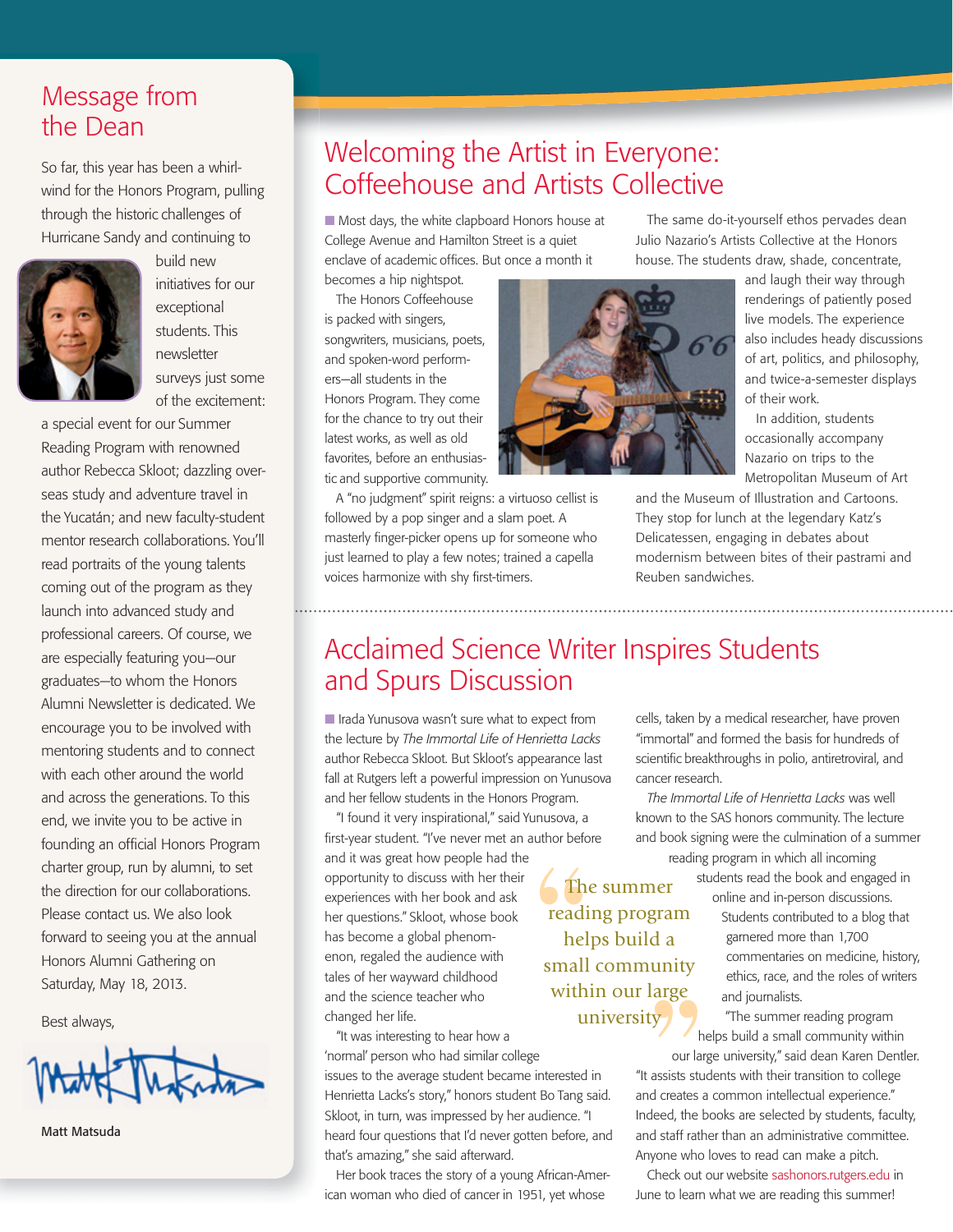### Message from the Dean

wind for the Honors Program, pulling through the historic challenges of Hurricane Sandy and continuing to



build new initiatives for our exceptional students. This newsletter surveys just some of the excitement:

a special event for our Summer Reading Program with renowned author Rebecca Skloot; dazzling overseas study and adventure travel in the Yucatán; and new faculty-student mentor research collaborations. You'll read portraits of the young talents coming out of the program as they launch into advanced study and professional careers. Of course, we are especially featuring you—our graduates—to whom the Honors Alumni Newsletter is dedicated. We encourage you to be involved with mentoring students and to connect with each other around the world and across the generations. To this end, we invite you to be active in founding an official Honors Program charter group, run by alumni, to set the direction for our collaborations. Please contact us. We also look forward to seeing you at the annual Honors Alumni Gathering on Saturday, May 18, 2013.

Best always,



Matt Matsuda

### Welcoming the Artist in Everyone: So far, this year has been a whirl-<br>Welcomming and Artists Collective Softer Honors Program pulling Coffeehouse and Artists Collective

 $\blacksquare$  Most days, the white clapboard Honors house at College Avenue and Hamilton Street is a quiet enclave of academic offices. But once a month it

becomes a hip nightspot. The Honors Coffeehouse is packed with singers, songwriters, musicians, poets, and spoken-word performers—all students in the Honors Program. They come for the chance to try out their latest works, as well as old favorites, before an enthusiastic and supportive community.

A "no judgment" spirit reigns: a virtuoso cellist is followed by a pop singer and a slam poet. A masterly finger-picker opens up for someone who just learned to play a few notes; trained a capella voices harmonize with shy first-timers.



The same do-it-yourself ethos pervades dean Julio Nazario's Artists Collective at the Honors house. The students draw, shade, concentrate,

> and laugh their way through renderings of patiently posed live models. The experience also includes heady discussions of art, politics, and philosophy, and twice-a-semester displays of their work.

In addition, students occasionally accompany Nazario on trips to the Metropolitan Museum of Art

and the Museum of Illustration and Cartoons. They stop for lunch at the legendary Katz's Delicatessen, engaging in debates about modernism between bites of their pastrami and Reuben sandwiches.

### Acclaimed Science Writer Inspires Students and Spurs Discussion

I Irada Yunusova wasn't sure what to expect from the lecture by *The Immortal Life of Henrietta Lacks* author Rebecca Skloot. But Skloot's appearance last fall at Rutgers left a powerful impression on Yunusova and her fellow students in the Honors Program.

"I found it very inspirational," said Yunusova, a first-year student. "I've never met an author before and it was great how people had the opportunity to discuss with her their experiences with her book and ask her questions." Skloot, whose book has become a global phenomenon, regaled the audience with tales of her wayward childhood and the science teacher who changed her life.

"It was interesting to hear how a 'normal' person who had similar college issues to the average student became interested in Henrietta Lacks's story," honors student Bo Tang said. Skloot, in turn, was impressed by her audience. "I heard four questions that I'd never gotten before, and that's amazing," she said afterward.

Her book traces the story of a young African-American woman who died of cancer in 1951, yet whose

cells, taken by a medical researcher, have proven "immortal" and formed the basis for hundreds of scientific breakthroughs in polio, antiretroviral, and cancer research.

*The Immortal Life of Henrietta Lacks* was well known to the SAS honors community. The lecture and book signing were the culmination of a summer reading program in which all incoming

> students read the book and engaged in online and in-person discussions.

> > Students contributed to a blog that garnered more than 1,700 commentaries on medicine, history, ethics, race, and the roles of writers and journalists.

"The summer reading program helps build a small community within

our large university," said dean Karen Dentler. "It assists students with their transition to college and creates a common intellectual experience." Indeed, the books are selected by students, faculty, and staff rather than an administrative committee. Anyone who loves to read can make a pitch.

Check out our website sashonors.rutgers.edu in June to learn what we are reading this summer!

The summer reading program helps build a small community within our large university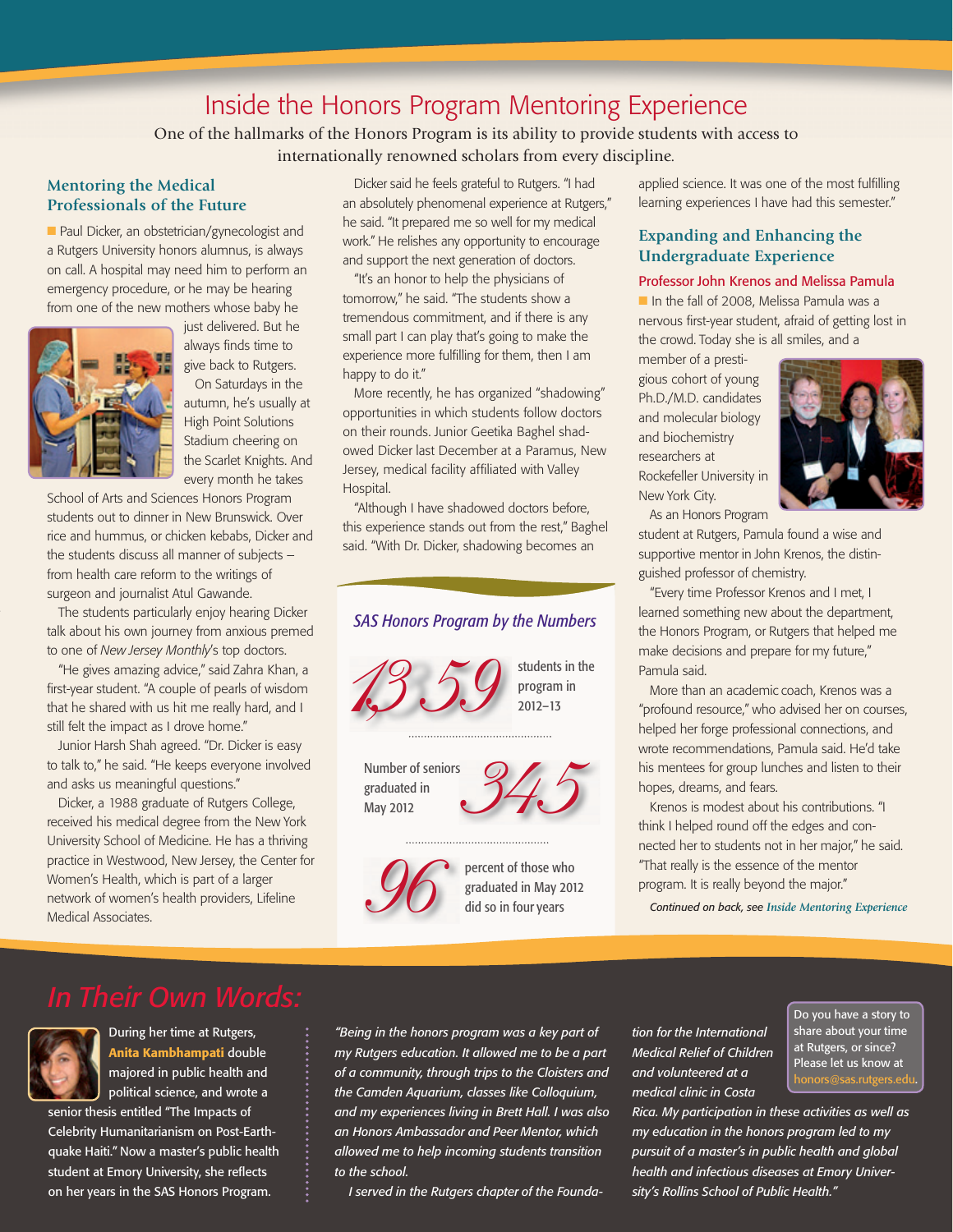### Inside the Honors Program Mentoring Experience

One of the hallmarks of the Honors Program is its ability to provide students with access to internationally renowned scholars from every discipline.

#### **Mentoring the Medical Professionals of the Future**

■ Paul Dicker, an obstetrician/gynecologist and a Rutgers University honors alumnus, is always on call. A hospital may need him to perform an emergency procedure, or he may be hearing from one of the new mothers whose baby he



just delivered. But he always finds time to give back to Rutgers.

On Saturdays in the autumn, he's usually at High Point Solutions Stadium cheering on the Scarlet Knights. And every month he takes

School of Arts and Sciences Honors Program students out to dinner in New Brunswick. Over rice and hummus, or chicken kebabs, Dicker and the students discuss all manner of subjects – from health care reform to the writings of surgeon and journalist Atul Gawande.

The students particularly enjoy hearing Dicker talk about his own journey from anxious premed to one of *New Jersey Monthly*'s top doctors.

"He gives amazing advice," said Zahra Khan, a first-year student. "A couple of pearls of wisdom that he shared with us hit me really hard, and I still felt the impact as I drove home."

Junior Harsh Shah agreed. "Dr. Dicker is easy to talk to," he said. "He keeps everyone involved and asks us meaningful questions."

Dicker, a 1988 graduate of Rutgers College, received his medical degree from the New York University School of Medicine. He has a thriving practice in Westwood, New Jersey, the Center for Women's Health, which is part of a larger network of women's health providers, Lifeline Medical Associates.

Dicker said he feels grateful to Rutgers. "I had an absolutely phenomenal experience at Rutgers," he said. "It prepared me so well for my medical work." He relishes any opportunity to encourage and support the next generation of doctors.

"It's an honor to help the physicians of tomorrow," he said. "The students show a tremendous commitment, and if there is any small part I can play that's going to make the experience more fulfilling for them, then I am happy to do it."

More recently, he has organized "shadowing" opportunities in which students follow doctors on their rounds. Junior Geetika Baghel shadowed Dicker last December at a Paramus, New Jersey, medical facility affiliated with Valley Hospital.

"Although I have shadowed doctors before, this experience stands out from the rest," Baghel said. "With Dr. Dicker, shadowing becomes an

### *SAS Honors Program by the Numbers*



Number of seniors graduated in May 2012





percent of those who graduated in May 2012 did so in four years

applied science. It was one of the most fulfilling learning experiences I have had this semester."

#### **Expanding and Enhancing the Undergraduate Experience**

#### Professor John Krenos and Melissa Pamula

In the fall of 2008. Melissa Pamula was a nervous first-year student, afraid of getting lost in the crowd. Today she is all smiles, and a

member of a prestigious cohort of young Ph.D./M.D. candidates and molecular biology and biochemistry researchers at Rockefeller University in New York City.



As an Honors Program

student at Rutgers, Pamula found a wise and supportive mentor in John Krenos, the distinguished professor of chemistry.

"Every time Professor Krenos and I met, I learned something new about the department, the Honors Program, or Rutgers that helped me make decisions and prepare for my future," Pamula said.

More than an academic coach, Krenos was a "profound resource," who advised her on courses, helped her forge professional connections, and wrote recommendations, Pamula said. He'd take his mentees for group lunches and listen to their hopes, dreams, and fears.

Krenos is modest about his contributions. "I think I helped round off the edges and connected her to students not in her major," he said. "That really is the essence of the mentor program. It is really beyond the major."

*Continued on back, see Inside Mentoring Experience*



During her time at Rutgers, Anita Kambhampati double majored in public health and political science, and wrote a

senior thesis entitled "The Impacts of Celebrity Humanitarianism on Post-Earthquake Haiti." Now a master's public health student at Emory University, she reflects on her years in the SAS Honors Program.

*"Being in the honors program was a key part of my Rutgers education. It allowed me to be a part of a community, through trips to the Cloisters and the Camden Aquarium, classes like Colloquium, and my experiences living in Brett Hall. I was also an Honors Ambassador and Peer Mentor, which allowed me to help incoming students transition to the school.* 

*I served in the Rutgers chapter of the Founda-*

*tion for the International Medical Relief of Children and volunteered at a medical clinic in Costa* 

Do you have a story to share about your time at Rutgers, or since? Please let us know at honors@sas.rutgers.edu.

*Rica. My participation in these activities as well as my education in the honors program led to my pursuit of a master's in public health and global health and infectious diseases at Emory University's Rollins School of Public Health."*